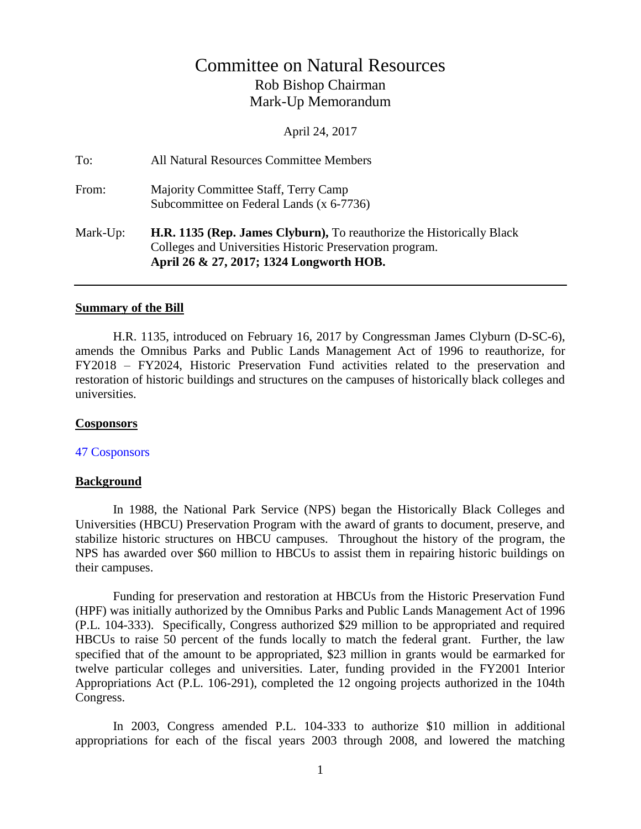# Committee on Natural Resources Rob Bishop Chairman Mark-Up Memorandum

April 24, 2017

| To:      | All Natural Resources Committee Members                                                                                                                                              |
|----------|--------------------------------------------------------------------------------------------------------------------------------------------------------------------------------------|
| From:    | Majority Committee Staff, Terry Camp<br>Subcommittee on Federal Lands (x 6-7736)                                                                                                     |
| Mark-Up: | <b>H.R. 1135 (Rep. James Clyburn), To reauthorize the Historically Black</b><br>Colleges and Universities Historic Preservation program.<br>April 26 & 27, 2017; 1324 Longworth HOB. |

#### **Summary of the Bill**

H.R. 1135, introduced on February 16, 2017 by Congressman James Clyburn (D-SC-6), amends the Omnibus Parks and Public Lands Management Act of 1996 to reauthorize, for FY2018 – FY2024, Historic Preservation Fund activities related to the preservation and restoration of historic buildings and structures on the campuses of historically black colleges and universities.

#### **Cosponsors**

47 [Cosponsors](https://www.congress.gov/bill/115th-congress/house-bill/1135/cosponsors?q=%7B%22search%22%3A%5B%22h.r.+1135%22%5D%7D&r=1)

#### **Background**

In 1988, the National Park Service (NPS) began the Historically Black Colleges and Universities (HBCU) Preservation Program with the award of grants to document, preserve, and stabilize historic structures on HBCU campuses. Throughout the history of the program, the NPS has awarded over \$60 million to HBCUs to assist them in repairing historic buildings on their campuses.

Funding for preservation and restoration at HBCUs from the Historic Preservation Fund (HPF) was initially authorized by the Omnibus Parks and Public Lands Management Act of 1996 (P.L. 104-333). Specifically, Congress authorized \$29 million to be appropriated and required HBCUs to raise 50 percent of the funds locally to match the federal grant. Further, the law specified that of the amount to be appropriated, \$23 million in grants would be earmarked for twelve particular colleges and universities. Later, funding provided in the FY2001 Interior Appropriations Act (P.L. 106-291), completed the 12 ongoing projects authorized in the 104th Congress.

In 2003, Congress amended P.L. 104-333 to authorize \$10 million in additional appropriations for each of the fiscal years 2003 through 2008, and lowered the matching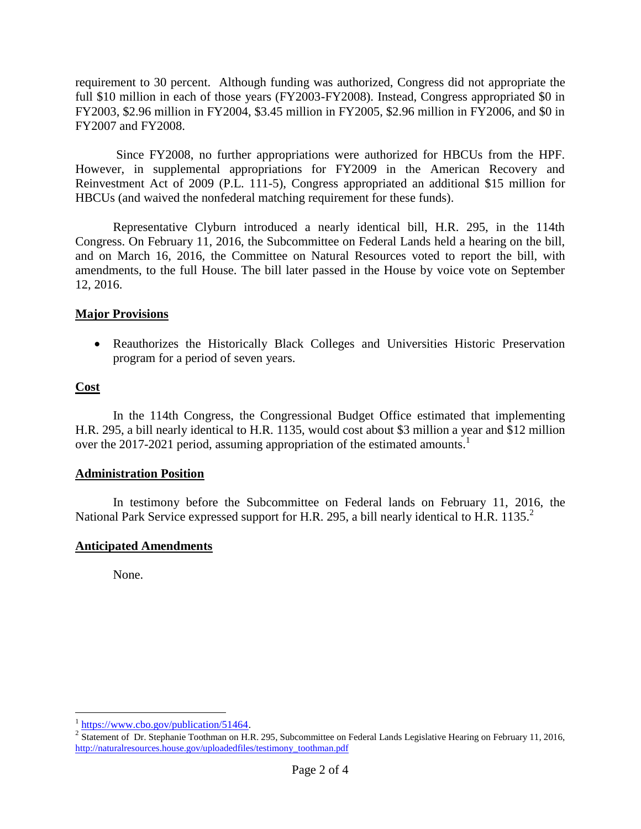requirement to 30 percent. Although funding was authorized, Congress did not appropriate the full \$10 million in each of those years (FY2003-FY2008). Instead, Congress appropriated \$0 in FY2003, \$2.96 million in FY2004, \$3.45 million in FY2005, \$2.96 million in FY2006, and \$0 in FY2007 and FY2008.

Since FY2008, no further appropriations were authorized for HBCUs from the HPF. However, in supplemental appropriations for FY2009 in the American Recovery and Reinvestment Act of 2009 (P.L. 111-5), Congress appropriated an additional \$15 million for HBCUs (and waived the nonfederal matching requirement for these funds).

Representative Clyburn introduced a nearly identical bill, H.R. 295, in the 114th Congress. On February 11, 2016, the Subcommittee on Federal Lands held a hearing on the bill, and on March 16, 2016, the Committee on Natural Resources voted to report the bill, with amendments, to the full House. The bill later passed in the House by voice vote on September 12, 2016.

## **Major Provisions**

 Reauthorizes the Historically Black Colleges and Universities Historic Preservation program for a period of seven years.

# **Cost**

 $\overline{a}$ 

In the 114th Congress, the Congressional Budget Office estimated that implementing H.R. 295, a bill nearly identical to H.R. 1135, would cost about \$3 million a year and \$12 million over the 2017-2021 period, assuming appropriation of the estimated amounts.<sup>1</sup>

## **Administration Position**

In testimony before the Subcommittee on Federal lands on February 11, 2016, the National Park Service expressed support for H.R. 295, a bill nearly identical to H.R. 1135.<sup>2</sup>

## **Anticipated Amendments**

None.

<sup>&</sup>lt;sup>1</sup> [https://www.cbo.gov/publication/51464.](https://www.cbo.gov/publication/51464)

<sup>&</sup>lt;sup>2</sup> Statement of Dr. Stephanie Toothman on H.R. 295, Subcommittee on Federal Lands Legislative Hearing on February 11, 2016, [http://naturalresources.house.gov/uploadedfiles/testimony\\_toothman.pdf](http://naturalresources.house.gov/uploadedfiles/testimony_toothman.pdf)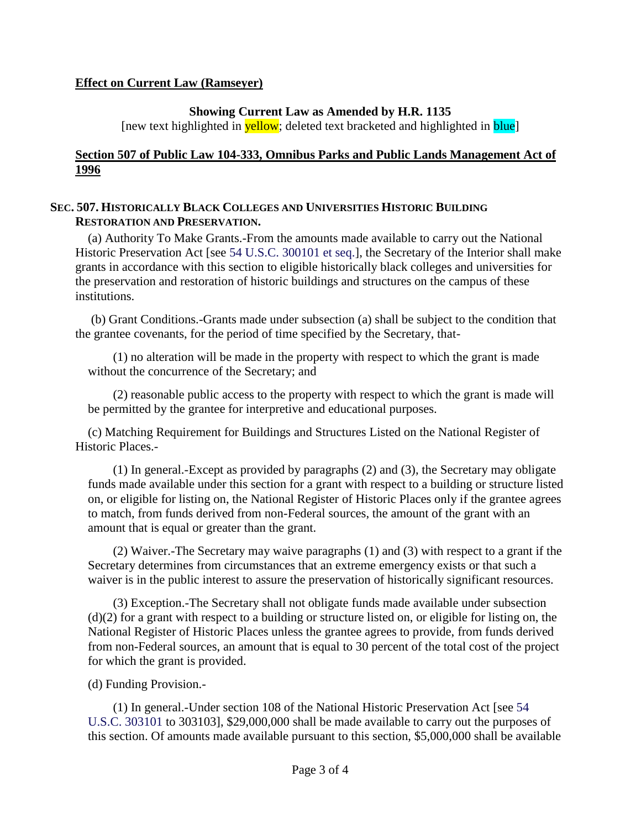### **Effect on Current Law (Ramseyer)**

#### **Showing Current Law as Amended by H.R. 1135**

[new text highlighted in **yellow**; deleted text bracketed and highlighted in **blue**]

## **Section 507 of Public Law 104-333, Omnibus Parks and Public Lands Management Act of 1996**

#### **SEC. 507. HISTORICALLY BLACK COLLEGES AND UNIVERSITIES HISTORIC BUILDING RESTORATION AND PRESERVATION.**

(a) Authority To Make Grants.-From the amounts made available to carry out the National Historic Preservation Act [see 54 U.S.C. 300101 et seq.], the Secretary of the Interior shall make grants in accordance with this section to eligible historically black colleges and universities for the preservation and restoration of historic buildings and structures on the campus of these institutions.

(b) Grant Conditions.-Grants made under subsection (a) shall be subject to the condition that the grantee covenants, for the period of time specified by the Secretary, that-

(1) no alteration will be made in the property with respect to which the grant is made without the concurrence of the Secretary; and

(2) reasonable public access to the property with respect to which the grant is made will be permitted by the grantee for interpretive and educational purposes.

(c) Matching Requirement for Buildings and Structures Listed on the National Register of Historic Places.-

(1) In general.-Except as provided by paragraphs (2) and (3), the Secretary may obligate funds made available under this section for a grant with respect to a building or structure listed on, or eligible for listing on, the National Register of Historic Places only if the grantee agrees to match, from funds derived from non-Federal sources, the amount of the grant with an amount that is equal or greater than the grant.

(2) Waiver.-The Secretary may waive paragraphs (1) and (3) with respect to a grant if the Secretary determines from circumstances that an extreme emergency exists or that such a waiver is in the public interest to assure the preservation of historically significant resources.

(3) Exception.-The Secretary shall not obligate funds made available under subsection (d)(2) for a grant with respect to a building or structure listed on, or eligible for listing on, the National Register of Historic Places unless the grantee agrees to provide, from funds derived from non-Federal sources, an amount that is equal to 30 percent of the total cost of the project for which the grant is provided.

(d) Funding Provision.-

(1) In general.-Under section 108 of the National Historic Preservation Act [see 54 U.S.C. 303101 to 303103], \$29,000,000 shall be made available to carry out the purposes of this section. Of amounts made available pursuant to this section, \$5,000,000 shall be available